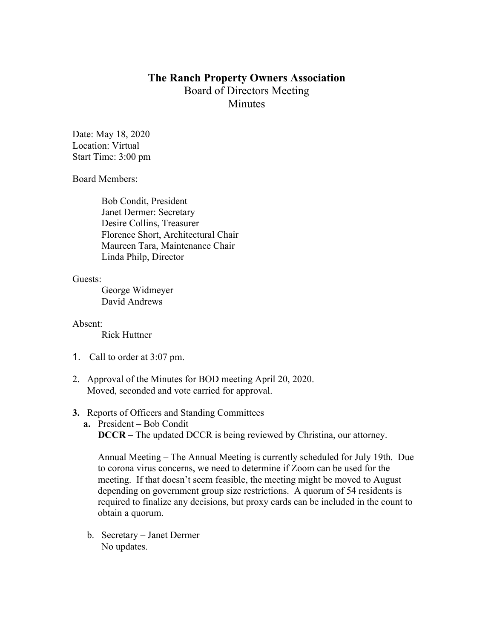## **The Ranch Property Owners Association** Board of Directors Meeting **Minutes**

Date: May 18, 2020 Location: Virtual Start Time: 3:00 pm

Board Members:

Bob Condit, President Janet Dermer: Secretary Desire Collins, Treasurer Florence Short, Architectural Chair Maureen Tara, Maintenance Chair Linda Philp, Director

Guests:

George Widmeyer David Andrews

Absent:

Rick Huttner

- 1. Call to order at 3:07 pm.
- 2. Approval of the Minutes for BOD meeting April 20, 2020. Moved, seconded and vote carried for approval.

## **3.** Reports of Officers and Standing Committees

**a.** President – Bob Condit **DCCR** – The updated DCCR is being reviewed by Christina, our attorney.

Annual Meeting – The Annual Meeting is currently scheduled for July 19th. Due to corona virus concerns, we need to determine if Zoom can be used for the meeting. If that doesn't seem feasible, the meeting might be moved to August depending on government group size restrictions. A quorum of 54 residents is required to finalize any decisions, but proxy cards can be included in the count to obtain a quorum.

b. Secretary – Janet Dermer No updates.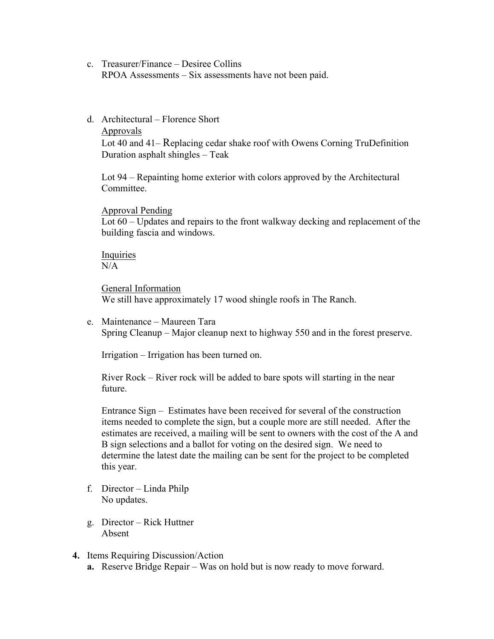- c. Treasurer/Finance Desiree Collins RPOA Assessments – Six assessments have not been paid.
- d. Architectural Florence Short Approvals

Lot 40 and 41– Replacing cedar shake roof with Owens Corning TruDefinition Duration asphalt shingles – Teak

Lot 94 – Repainting home exterior with colors approved by the Architectural **Committee** 

Approval Pending

Lot 60 – Updates and repairs to the front walkway decking and replacement of the building fascia and windows.

Inquiries N/A

General Information We still have approximately 17 wood shingle roofs in The Ranch.

e. Maintenance – Maureen Tara Spring Cleanup – Major cleanup next to highway 550 and in the forest preserve.

Irrigation – Irrigation has been turned on.

River Rock – River rock will be added to bare spots will starting in the near future.

Entrance Sign – Estimates have been received for several of the construction items needed to complete the sign, but a couple more are still needed. After the estimates are received, a mailing will be sent to owners with the cost of the A and B sign selections and a ballot for voting on the desired sign. We need to determine the latest date the mailing can be sent for the project to be completed this year.

- f. Director Linda Philp No updates.
- g. Director Rick Huttner Absent
- **4.** Items Requiring Discussion/Action
	- **a.** Reserve Bridge Repair Was on hold but is now ready to move forward.